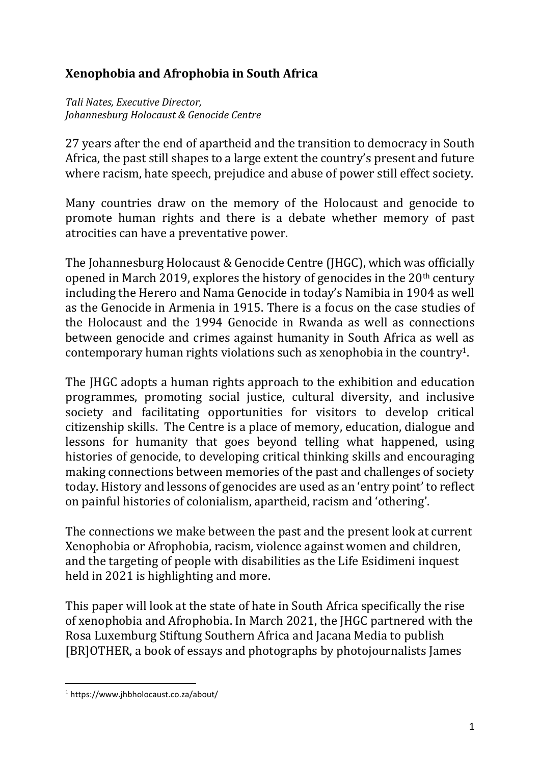## **Xenophobia and Afrophobia in South Africa**

*Tali Nates, Executive Director, Johannesburg Holocaust & Genocide Centre*

27 years after the end of apartheid and the transition to democracy in South Africa, the past still shapes to a large extent the country's present and future where racism, hate speech, prejudice and abuse of power still effect society.

Many countries draw on the memory of the Holocaust and genocide to promote human rights and there is a debate whether memory of past atrocities can have a preventative power.

The Johannesburg Holocaust & Genocide Centre (JHGC), which was officially opened in March 2019, explores the history of genocides in the  $20<sup>th</sup>$  century including the Herero and Nama Genocide in today's Namibia in 1904 as well as the Genocide in Armenia in 1915. There is a focus on the case studies of the Holocaust and the 1994 Genocide in Rwanda as well as connections between genocide and crimes against humanity in South Africa as well as contemporary human rights violations such as xenophobia in the country1.

The JHGC adopts a human rights approach to the exhibition and education programmes, promoting social justice, cultural diversity, and inclusive society and facilitating opportunities for visitors to develop critical citizenship skills. The Centre is a place of memory, education, dialogue and lessons for humanity that goes beyond telling what happened, using histories of genocide, to developing critical thinking skills and encouraging making connections between memories of the past and challenges of society today. History and lessons of genocides are used as an 'entry point' to reflect on painful histories of colonialism, apartheid, racism and 'othering'.

The connections we make between the past and the present look at current Xenophobia or Afrophobia, racism, violence against women and children, and the targeting of people with disabilities as the Life Esidimeni inquest held in 2021 is highlighting and more.

This paper will look at the state of hate in South Africa specifically the rise of xenophobia and Afrophobia. In March 2021, the JHGC partnered with the Rosa Luxemburg Stiftung Southern Africa and Jacana Media to publish [BR]OTHER, a book of essays and photographs by photojournalists James

<sup>1</sup> https://www.jhbholocaust.co.za/about/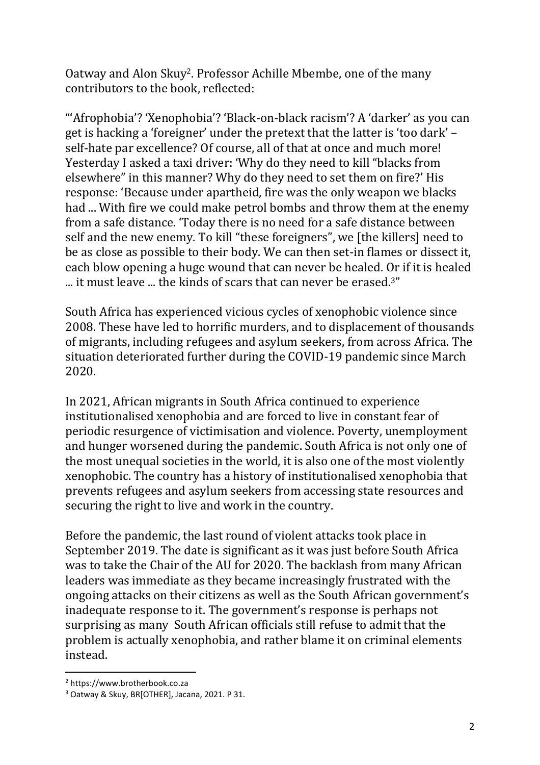Oatway and Alon Skuy2. Professor Achille Mbembe, one of the many contributors to the book, reflected:

"'Afrophobia'? 'Xenophobia'? 'Black-on-black racism'? A 'darker' as you can get is hacking a 'foreigner' under the pretext that the latter is 'too dark' – self-hate par excellence? Of course, all of that at once and much more! Yesterday I asked a taxi driver: 'Why do they need to kill "blacks from elsewhere" in this manner? Why do they need to set them on fire?' His response: 'Because under apartheid, fire was the only weapon we blacks had ... With fire we could make petrol bombs and throw them at the enemy from a safe distance. 'Today there is no need for a safe distance between self and the new enemy. To kill "these foreigners", we [the killers] need to be as close as possible to their body. We can then set-in flames or dissect it, each blow opening a huge wound that can never be healed. Or if it is healed ... it must leave ... the kinds of scars that can never be erased.<sup>3"</sup>

South Africa has experienced vicious cycles of xenophobic violence since 2008. These have led to horrific murders, and to displacement of thousands of migrants, including refugees and asylum seekers, from across Africa. The situation deteriorated further during the COVID-19 pandemic since March 2020.

In 2021, African migrants in South Africa continued to experience institutionalised xenophobia and are forced to live in constant fear of periodic resurgence of victimisation and violence. Poverty, unemployment and hunger worsened during the pandemic. South Africa is not only one of the most unequal societies in the world, it is also one of the most violently xenophobic. The country has a history of institutionalised xenophobia that prevents refugees and asylum seekers from accessing state resources and securing the right to live and work in the country.

Before the pandemic, the last round of violent attacks took place in September 2019. The date is significant as it was just before South Africa was to take the Chair of the AU for 2020. The backlash from many African leaders was immediate as they became increasingly frustrated with the ongoing attacks on their citizens as well as the South African government's inadequate response to it. The government's response is perhaps not surprising as many South African officials still refuse to admit that the problem is actually xenophobia, and rather blame it on criminal elements instead.

<sup>2</sup> https://www.brotherbook.co.za

<sup>3</sup> Oatway & Skuy, BR[OTHER], Jacana, 2021. P 31.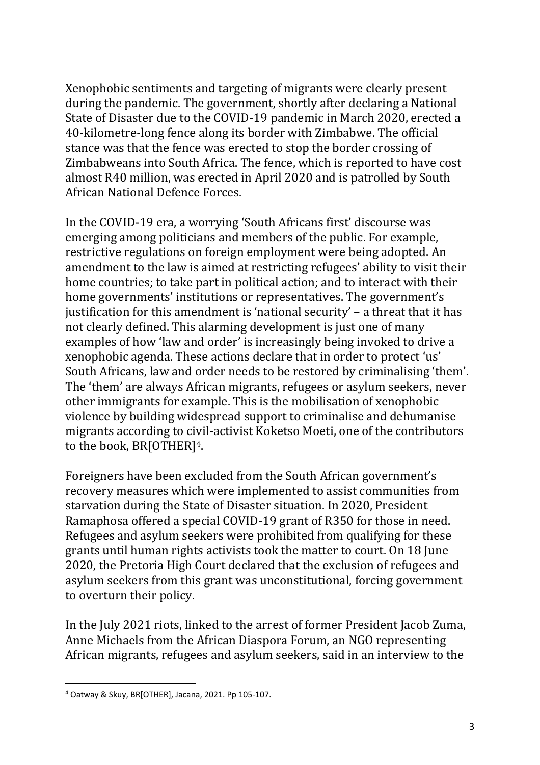Xenophobic sentiments and targeting of migrants were clearly present during the pandemic. The government, shortly after declaring a National State of Disaster due to the COVID-19 pandemic in March 2020, erected a 40-kilometre-long fence along its border with Zimbabwe. The official stance was that the fence was erected to stop the border crossing of Zimbabweans into South Africa. The fence, which is reported to have cost almost R40 million, was erected in April 2020 and is patrolled by South African National Defence Forces.

In the COVID-19 era, a worrying 'South Africans first' discourse was emerging among politicians and members of the public. For example, restrictive regulations on foreign employment were being adopted. An amendment to the law is aimed at restricting refugees' ability to visit their home countries; to take part in political action; and to interact with their home governments' institutions or representatives. The government's justification for this amendment is 'national security' – a threat that it has not clearly defined. This alarming development is just one of many examples of how 'law and order' is increasingly being invoked to drive a xenophobic agenda. These actions declare that in order to protect 'us' South Africans, law and order needs to be restored by criminalising 'them'. The 'them' are always African migrants, refugees or asylum seekers, never other immigrants for example. This is the mobilisation of xenophobic violence by building widespread support to criminalise and dehumanise migrants according to civil-activist Koketso Moeti, one of the contributors to the book, BR[OTHER]4.

Foreigners have been excluded from the South African government's recovery measures which were implemented to assist communities from starvation during the State of Disaster situation. In 2020, President Ramaphosa offered a special COVID-19 grant of R350 for those in need. Refugees and asylum seekers were prohibited from qualifying for these grants until human rights activists took the matter to court. On 18 June 2020, the Pretoria High Court declared that the exclusion of refugees and asylum seekers from this grant was unconstitutional, forcing government to overturn their policy.

In the July 2021 riots, linked to the arrest of former President Jacob Zuma, Anne Michaels from the African Diaspora Forum, an NGO representing African migrants, refugees and asylum seekers, said in an interview to the

<sup>4</sup> Oatway & Skuy, BR[OTHER], Jacana, 2021. Pp 105-107.